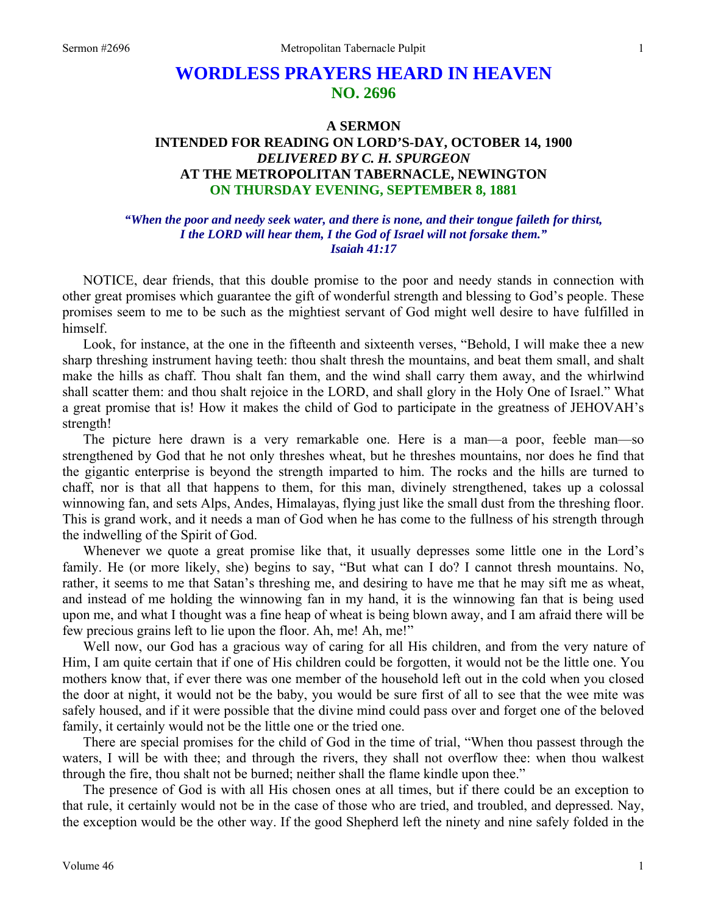# **WORDLESS PRAYERS HEARD IN HEAVEN NO. 2696**

# **A SERMON INTENDED FOR READING ON LORD'S-DAY, OCTOBER 14, 1900**  *DELIVERED BY C. H. SPURGEON*  **AT THE METROPOLITAN TABERNACLE, NEWINGTON ON THURSDAY EVENING, SEPTEMBER 8, 1881**

#### *"When the poor and needy seek water, and there is none, and their tongue faileth for thirst, I the LORD will hear them, I the God of Israel will not forsake them." Isaiah 41:17*

NOTICE, dear friends, that this double promise to the poor and needy stands in connection with other great promises which guarantee the gift of wonderful strength and blessing to God's people. These promises seem to me to be such as the mightiest servant of God might well desire to have fulfilled in himself.

Look, for instance, at the one in the fifteenth and sixteenth verses, "Behold, I will make thee a new sharp threshing instrument having teeth: thou shalt thresh the mountains, and beat them small, and shalt make the hills as chaff. Thou shalt fan them, and the wind shall carry them away, and the whirlwind shall scatter them: and thou shalt rejoice in the LORD, and shall glory in the Holy One of Israel." What a great promise that is! How it makes the child of God to participate in the greatness of JEHOVAH's strength!

The picture here drawn is a very remarkable one. Here is a man—a poor, feeble man—so strengthened by God that he not only threshes wheat, but he threshes mountains, nor does he find that the gigantic enterprise is beyond the strength imparted to him. The rocks and the hills are turned to chaff, nor is that all that happens to them, for this man, divinely strengthened, takes up a colossal winnowing fan, and sets Alps, Andes, Himalayas, flying just like the small dust from the threshing floor. This is grand work, and it needs a man of God when he has come to the fullness of his strength through the indwelling of the Spirit of God.

Whenever we quote a great promise like that, it usually depresses some little one in the Lord's family. He (or more likely, she) begins to say, "But what can I do? I cannot thresh mountains. No, rather, it seems to me that Satan's threshing me, and desiring to have me that he may sift me as wheat, and instead of me holding the winnowing fan in my hand, it is the winnowing fan that is being used upon me, and what I thought was a fine heap of wheat is being blown away, and I am afraid there will be few precious grains left to lie upon the floor. Ah, me! Ah, me!"

Well now, our God has a gracious way of caring for all His children, and from the very nature of Him, I am quite certain that if one of His children could be forgotten, it would not be the little one. You mothers know that, if ever there was one member of the household left out in the cold when you closed the door at night, it would not be the baby, you would be sure first of all to see that the wee mite was safely housed, and if it were possible that the divine mind could pass over and forget one of the beloved family, it certainly would not be the little one or the tried one.

There are special promises for the child of God in the time of trial, "When thou passest through the waters, I will be with thee; and through the rivers, they shall not overflow thee: when thou walkest through the fire, thou shalt not be burned; neither shall the flame kindle upon thee."

The presence of God is with all His chosen ones at all times, but if there could be an exception to that rule, it certainly would not be in the case of those who are tried, and troubled, and depressed. Nay, the exception would be the other way. If the good Shepherd left the ninety and nine safely folded in the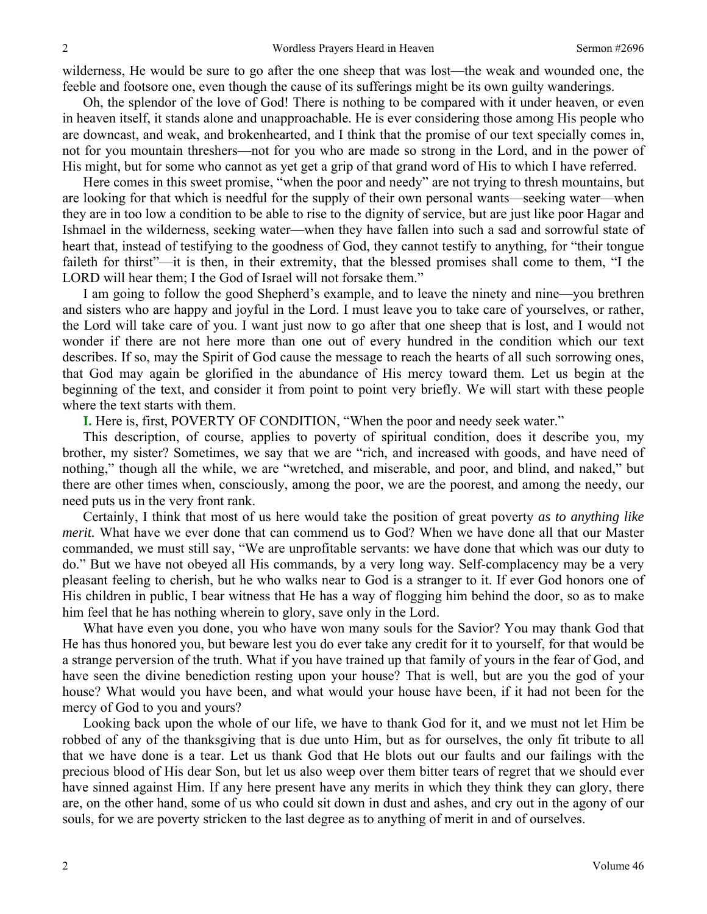wilderness, He would be sure to go after the one sheep that was lost—the weak and wounded one, the feeble and footsore one, even though the cause of its sufferings might be its own guilty wanderings.

Oh, the splendor of the love of God! There is nothing to be compared with it under heaven, or even in heaven itself, it stands alone and unapproachable. He is ever considering those among His people who are downcast, and weak, and brokenhearted, and I think that the promise of our text specially comes in, not for you mountain threshers—not for you who are made so strong in the Lord, and in the power of His might, but for some who cannot as yet get a grip of that grand word of His to which I have referred.

Here comes in this sweet promise, "when the poor and needy" are not trying to thresh mountains, but are looking for that which is needful for the supply of their own personal wants—seeking water—when they are in too low a condition to be able to rise to the dignity of service, but are just like poor Hagar and Ishmael in the wilderness, seeking water—when they have fallen into such a sad and sorrowful state of heart that, instead of testifying to the goodness of God, they cannot testify to anything, for "their tongue faileth for thirst"—it is then, in their extremity, that the blessed promises shall come to them, "I the LORD will hear them; I the God of Israel will not forsake them."

I am going to follow the good Shepherd's example, and to leave the ninety and nine—you brethren and sisters who are happy and joyful in the Lord. I must leave you to take care of yourselves, or rather, the Lord will take care of you. I want just now to go after that one sheep that is lost, and I would not wonder if there are not here more than one out of every hundred in the condition which our text describes. If so, may the Spirit of God cause the message to reach the hearts of all such sorrowing ones, that God may again be glorified in the abundance of His mercy toward them. Let us begin at the beginning of the text, and consider it from point to point very briefly. We will start with these people where the text starts with them.

**I.** Here is, first, POVERTY OF CONDITION, "When the poor and needy seek water."

This description, of course, applies to poverty of spiritual condition, does it describe you, my brother, my sister? Sometimes, we say that we are "rich, and increased with goods, and have need of nothing," though all the while, we are "wretched, and miserable, and poor, and blind, and naked," but there are other times when, consciously, among the poor, we are the poorest, and among the needy, our need puts us in the very front rank.

Certainly, I think that most of us here would take the position of great poverty *as to anything like merit.* What have we ever done that can commend us to God? When we have done all that our Master commanded, we must still say, "We are unprofitable servants: we have done that which was our duty to do." But we have not obeyed all His commands, by a very long way. Self-complacency may be a very pleasant feeling to cherish, but he who walks near to God is a stranger to it. If ever God honors one of His children in public, I bear witness that He has a way of flogging him behind the door, so as to make him feel that he has nothing wherein to glory, save only in the Lord.

What have even you done, you who have won many souls for the Savior? You may thank God that He has thus honored you, but beware lest you do ever take any credit for it to yourself, for that would be a strange perversion of the truth. What if you have trained up that family of yours in the fear of God, and have seen the divine benediction resting upon your house? That is well, but are you the god of your house? What would you have been, and what would your house have been, if it had not been for the mercy of God to you and yours?

Looking back upon the whole of our life, we have to thank God for it, and we must not let Him be robbed of any of the thanksgiving that is due unto Him, but as for ourselves, the only fit tribute to all that we have done is a tear. Let us thank God that He blots out our faults and our failings with the precious blood of His dear Son, but let us also weep over them bitter tears of regret that we should ever have sinned against Him. If any here present have any merits in which they think they can glory, there are, on the other hand, some of us who could sit down in dust and ashes, and cry out in the agony of our souls, for we are poverty stricken to the last degree as to anything of merit in and of ourselves.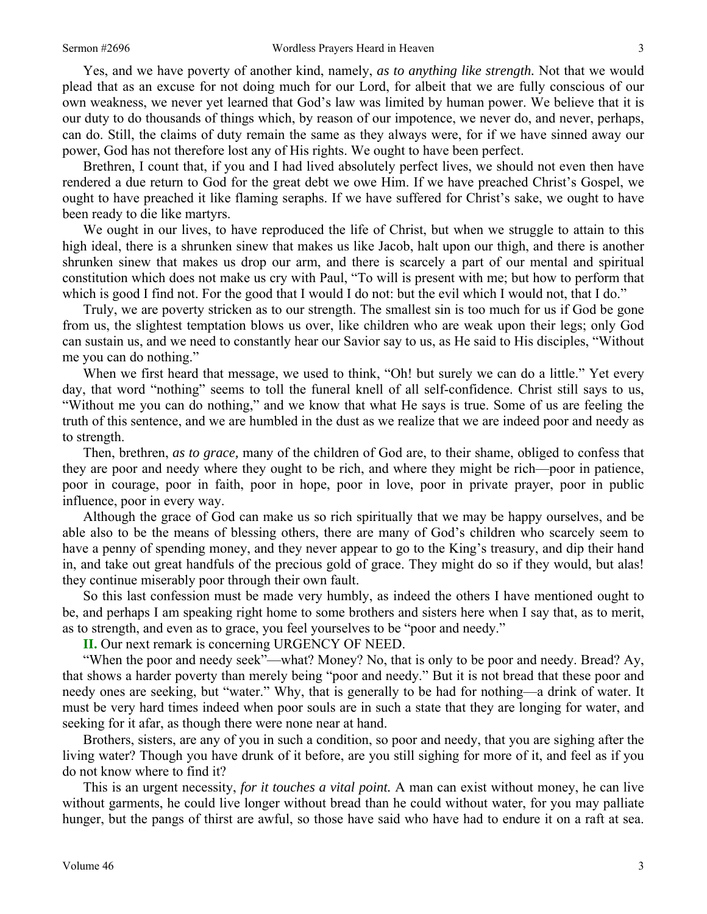Yes, and we have poverty of another kind, namely, *as to anything like strength.* Not that we would

plead that as an excuse for not doing much for our Lord, for albeit that we are fully conscious of our own weakness, we never yet learned that God's law was limited by human power. We believe that it is our duty to do thousands of things which, by reason of our impotence, we never do, and never, perhaps, can do. Still, the claims of duty remain the same as they always were, for if we have sinned away our power, God has not therefore lost any of His rights. We ought to have been perfect.

Brethren, I count that, if you and I had lived absolutely perfect lives, we should not even then have rendered a due return to God for the great debt we owe Him. If we have preached Christ's Gospel, we ought to have preached it like flaming seraphs. If we have suffered for Christ's sake, we ought to have been ready to die like martyrs.

We ought in our lives, to have reproduced the life of Christ, but when we struggle to attain to this high ideal, there is a shrunken sinew that makes us like Jacob, halt upon our thigh, and there is another shrunken sinew that makes us drop our arm, and there is scarcely a part of our mental and spiritual constitution which does not make us cry with Paul, "To will is present with me; but how to perform that which is good I find not. For the good that I would I do not: but the evil which I would not, that I do."

Truly, we are poverty stricken as to our strength. The smallest sin is too much for us if God be gone from us, the slightest temptation blows us over, like children who are weak upon their legs; only God can sustain us, and we need to constantly hear our Savior say to us, as He said to His disciples, "Without me you can do nothing."

When we first heard that message, we used to think, "Oh! but surely we can do a little." Yet every day, that word "nothing" seems to toll the funeral knell of all self-confidence. Christ still says to us, "Without me you can do nothing," and we know that what He says is true. Some of us are feeling the truth of this sentence, and we are humbled in the dust as we realize that we are indeed poor and needy as to strength.

Then, brethren, *as to grace,* many of the children of God are, to their shame, obliged to confess that they are poor and needy where they ought to be rich, and where they might be rich—poor in patience, poor in courage, poor in faith, poor in hope, poor in love, poor in private prayer, poor in public influence, poor in every way.

Although the grace of God can make us so rich spiritually that we may be happy ourselves, and be able also to be the means of blessing others, there are many of God's children who scarcely seem to have a penny of spending money, and they never appear to go to the King's treasury, and dip their hand in, and take out great handfuls of the precious gold of grace. They might do so if they would, but alas! they continue miserably poor through their own fault.

So this last confession must be made very humbly, as indeed the others I have mentioned ought to be, and perhaps I am speaking right home to some brothers and sisters here when I say that, as to merit, as to strength, and even as to grace, you feel yourselves to be "poor and needy."

**II.** Our next remark is concerning URGENCY OF NEED.

"When the poor and needy seek"—what? Money? No, that is only to be poor and needy. Bread? Ay, that shows a harder poverty than merely being "poor and needy." But it is not bread that these poor and needy ones are seeking, but "water." Why, that is generally to be had for nothing—a drink of water. It must be very hard times indeed when poor souls are in such a state that they are longing for water, and seeking for it afar, as though there were none near at hand.

Brothers, sisters, are any of you in such a condition, so poor and needy, that you are sighing after the living water? Though you have drunk of it before, are you still sighing for more of it, and feel as if you do not know where to find it?

This is an urgent necessity, *for it touches a vital point.* A man can exist without money, he can live without garments, he could live longer without bread than he could without water, for you may palliate hunger, but the pangs of thirst are awful, so those have said who have had to endure it on a raft at sea.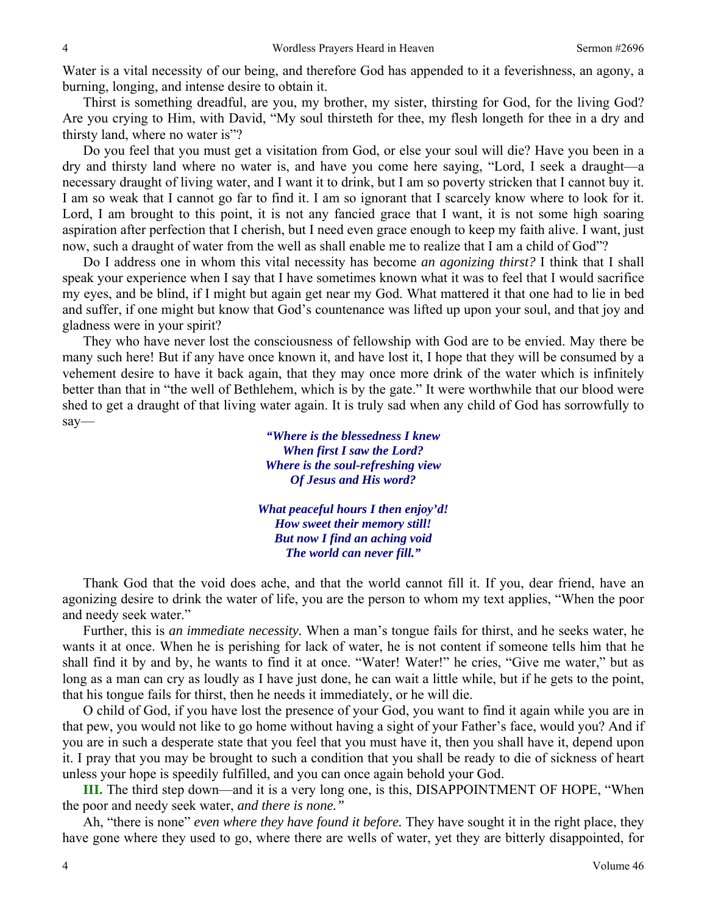Water is a vital necessity of our being, and therefore God has appended to it a feverishness, an agony, a burning, longing, and intense desire to obtain it.

Thirst is something dreadful, are you, my brother, my sister, thirsting for God, for the living God? Are you crying to Him, with David, "My soul thirsteth for thee, my flesh longeth for thee in a dry and thirsty land, where no water is"?

Do you feel that you must get a visitation from God, or else your soul will die? Have you been in a dry and thirsty land where no water is, and have you come here saying, "Lord, I seek a draught—a necessary draught of living water, and I want it to drink, but I am so poverty stricken that I cannot buy it. I am so weak that I cannot go far to find it. I am so ignorant that I scarcely know where to look for it. Lord, I am brought to this point, it is not any fancied grace that I want, it is not some high soaring aspiration after perfection that I cherish, but I need even grace enough to keep my faith alive. I want, just now, such a draught of water from the well as shall enable me to realize that I am a child of God"?

Do I address one in whom this vital necessity has become *an agonizing thirst?* I think that I shall speak your experience when I say that I have sometimes known what it was to feel that I would sacrifice my eyes, and be blind, if I might but again get near my God. What mattered it that one had to lie in bed and suffer, if one might but know that God's countenance was lifted up upon your soul, and that joy and gladness were in your spirit?

They who have never lost the consciousness of fellowship with God are to be envied. May there be many such here! But if any have once known it, and have lost it, I hope that they will be consumed by a vehement desire to have it back again, that they may once more drink of the water which is infinitely better than that in "the well of Bethlehem, which is by the gate." It were worthwhile that our blood were shed to get a draught of that living water again. It is truly sad when any child of God has sorrowfully to say—

> *"Where is the blessedness I knew When first I saw the Lord? Where is the soul-refreshing view Of Jesus and His word?*

*What peaceful hours I then enjoy'd! How sweet their memory still! But now I find an aching void The world can never fill."* 

Thank God that the void does ache, and that the world cannot fill it. If you, dear friend, have an agonizing desire to drink the water of life, you are the person to whom my text applies, "When the poor and needy seek water."

Further, this is *an immediate necessity.* When a man's tongue fails for thirst, and he seeks water, he wants it at once. When he is perishing for lack of water, he is not content if someone tells him that he shall find it by and by, he wants to find it at once. "Water! Water!" he cries, "Give me water," but as long as a man can cry as loudly as I have just done, he can wait a little while, but if he gets to the point, that his tongue fails for thirst, then he needs it immediately, or he will die.

O child of God, if you have lost the presence of your God, you want to find it again while you are in that pew, you would not like to go home without having a sight of your Father's face, would you? And if you are in such a desperate state that you feel that you must have it, then you shall have it, depend upon it. I pray that you may be brought to such a condition that you shall be ready to die of sickness of heart unless your hope is speedily fulfilled, and you can once again behold your God.

**III.** The third step down—and it is a very long one, is this, DISAPPOINTMENT OF HOPE, "When the poor and needy seek water, *and there is none."* 

Ah, "there is none" *even where they have found it before.* They have sought it in the right place, they have gone where they used to go, where there are wells of water, yet they are bitterly disappointed, for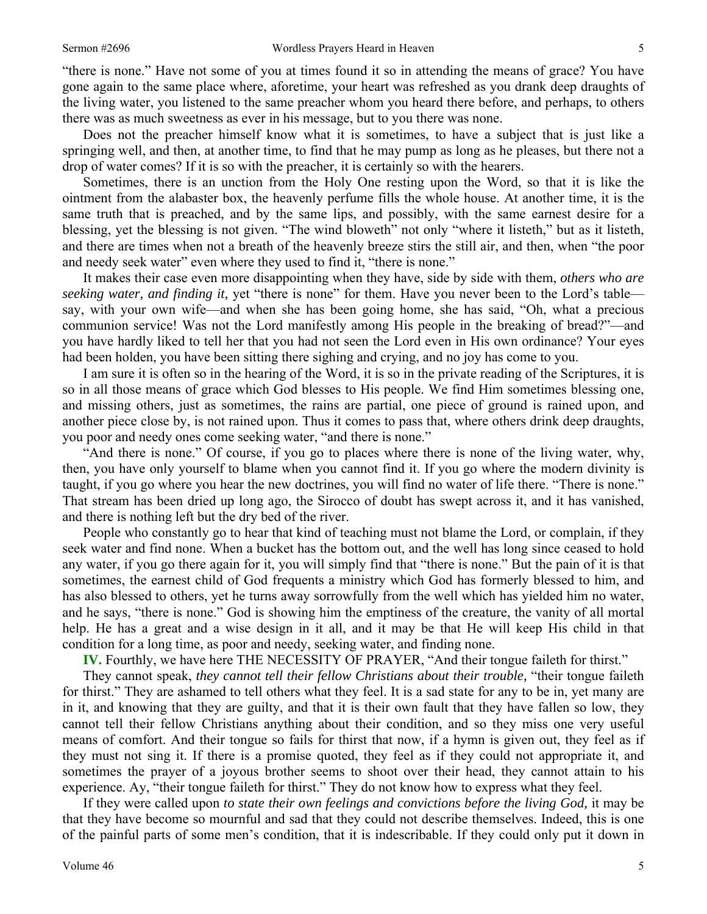"there is none." Have not some of you at times found it so in attending the means of grace? You have gone again to the same place where, aforetime, your heart was refreshed as you drank deep draughts of the living water, you listened to the same preacher whom you heard there before, and perhaps, to others there was as much sweetness as ever in his message, but to you there was none.

Does not the preacher himself know what it is sometimes, to have a subject that is just like a springing well, and then, at another time, to find that he may pump as long as he pleases, but there not a drop of water comes? If it is so with the preacher, it is certainly so with the hearers.

Sometimes, there is an unction from the Holy One resting upon the Word, so that it is like the ointment from the alabaster box, the heavenly perfume fills the whole house. At another time, it is the same truth that is preached, and by the same lips, and possibly, with the same earnest desire for a blessing, yet the blessing is not given. "The wind bloweth" not only "where it listeth," but as it listeth, and there are times when not a breath of the heavenly breeze stirs the still air, and then, when "the poor and needy seek water" even where they used to find it, "there is none."

It makes their case even more disappointing when they have, side by side with them, *others who are seeking water, and finding it,* yet "there is none" for them. Have you never been to the Lord's table say, with your own wife—and when she has been going home, she has said, "Oh, what a precious communion service! Was not the Lord manifestly among His people in the breaking of bread?"—and you have hardly liked to tell her that you had not seen the Lord even in His own ordinance? Your eyes had been holden, you have been sitting there sighing and crying, and no joy has come to you.

I am sure it is often so in the hearing of the Word, it is so in the private reading of the Scriptures, it is so in all those means of grace which God blesses to His people. We find Him sometimes blessing one, and missing others, just as sometimes, the rains are partial, one piece of ground is rained upon, and another piece close by, is not rained upon. Thus it comes to pass that, where others drink deep draughts, you poor and needy ones come seeking water, "and there is none."

"And there is none." Of course, if you go to places where there is none of the living water, why, then, you have only yourself to blame when you cannot find it. If you go where the modern divinity is taught, if you go where you hear the new doctrines, you will find no water of life there. "There is none." That stream has been dried up long ago, the Sirocco of doubt has swept across it, and it has vanished, and there is nothing left but the dry bed of the river.

People who constantly go to hear that kind of teaching must not blame the Lord, or complain, if they seek water and find none. When a bucket has the bottom out, and the well has long since ceased to hold any water, if you go there again for it, you will simply find that "there is none." But the pain of it is that sometimes, the earnest child of God frequents a ministry which God has formerly blessed to him, and has also blessed to others, yet he turns away sorrowfully from the well which has yielded him no water, and he says, "there is none." God is showing him the emptiness of the creature, the vanity of all mortal help. He has a great and a wise design in it all, and it may be that He will keep His child in that condition for a long time, as poor and needy, seeking water, and finding none.

**IV.** Fourthly, we have here THE NECESSITY OF PRAYER, "And their tongue faileth for thirst."

They cannot speak, *they cannot tell their fellow Christians about their trouble*, "their tongue faileth for thirst." They are ashamed to tell others what they feel. It is a sad state for any to be in, yet many are in it, and knowing that they are guilty, and that it is their own fault that they have fallen so low, they cannot tell their fellow Christians anything about their condition, and so they miss one very useful means of comfort. And their tongue so fails for thirst that now, if a hymn is given out, they feel as if they must not sing it. If there is a promise quoted, they feel as if they could not appropriate it, and sometimes the prayer of a joyous brother seems to shoot over their head, they cannot attain to his experience. Ay, "their tongue faileth for thirst." They do not know how to express what they feel.

If they were called upon *to state their own feelings and convictions before the living God*, it may be that they have become so mournful and sad that they could not describe themselves. Indeed, this is one of the painful parts of some men's condition, that it is indescribable. If they could only put it down in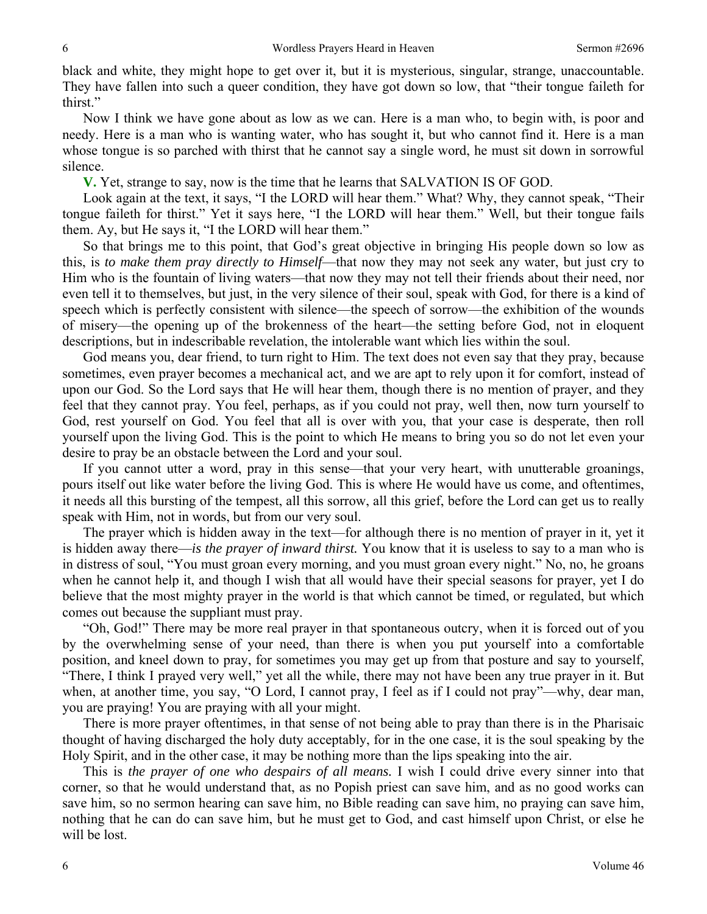black and white, they might hope to get over it, but it is mysterious, singular, strange, unaccountable. They have fallen into such a queer condition, they have got down so low, that "their tongue faileth for thirst."

Now I think we have gone about as low as we can. Here is a man who, to begin with, is poor and needy. Here is a man who is wanting water, who has sought it, but who cannot find it. Here is a man whose tongue is so parched with thirst that he cannot say a single word, he must sit down in sorrowful silence.

**V.** Yet, strange to say, now is the time that he learns that SALVATION IS OF GOD.

Look again at the text, it says, "I the LORD will hear them." What? Why, they cannot speak, "Their tongue faileth for thirst." Yet it says here, "I the LORD will hear them." Well, but their tongue fails them. Ay, but He says it, "I the LORD will hear them."

So that brings me to this point, that God's great objective in bringing His people down so low as this, is *to make them pray directly to Himself*—that now they may not seek any water, but just cry to Him who is the fountain of living waters—that now they may not tell their friends about their need, nor even tell it to themselves, but just, in the very silence of their soul, speak with God, for there is a kind of speech which is perfectly consistent with silence—the speech of sorrow—the exhibition of the wounds of misery—the opening up of the brokenness of the heart—the setting before God, not in eloquent descriptions, but in indescribable revelation, the intolerable want which lies within the soul.

God means you, dear friend, to turn right to Him. The text does not even say that they pray, because sometimes, even prayer becomes a mechanical act, and we are apt to rely upon it for comfort, instead of upon our God. So the Lord says that He will hear them, though there is no mention of prayer, and they feel that they cannot pray. You feel, perhaps, as if you could not pray, well then, now turn yourself to God, rest yourself on God. You feel that all is over with you, that your case is desperate, then roll yourself upon the living God. This is the point to which He means to bring you so do not let even your desire to pray be an obstacle between the Lord and your soul.

If you cannot utter a word, pray in this sense—that your very heart, with unutterable groanings, pours itself out like water before the living God. This is where He would have us come, and oftentimes, it needs all this bursting of the tempest, all this sorrow, all this grief, before the Lord can get us to really speak with Him, not in words, but from our very soul.

The prayer which is hidden away in the text—for although there is no mention of prayer in it, yet it is hidden away there—*is the prayer of inward thirst.* You know that it is useless to say to a man who is in distress of soul, "You must groan every morning, and you must groan every night." No, no, he groans when he cannot help it, and though I wish that all would have their special seasons for prayer, yet I do believe that the most mighty prayer in the world is that which cannot be timed, or regulated, but which comes out because the suppliant must pray.

"Oh, God!" There may be more real prayer in that spontaneous outcry, when it is forced out of you by the overwhelming sense of your need, than there is when you put yourself into a comfortable position, and kneel down to pray, for sometimes you may get up from that posture and say to yourself, "There, I think I prayed very well," yet all the while, there may not have been any true prayer in it. But when, at another time, you say, "O Lord, I cannot pray, I feel as if I could not pray"—why, dear man, you are praying! You are praying with all your might.

There is more prayer oftentimes, in that sense of not being able to pray than there is in the Pharisaic thought of having discharged the holy duty acceptably, for in the one case, it is the soul speaking by the Holy Spirit, and in the other case, it may be nothing more than the lips speaking into the air.

This is *the prayer of one who despairs of all means.* I wish I could drive every sinner into that corner, so that he would understand that, as no Popish priest can save him, and as no good works can save him, so no sermon hearing can save him, no Bible reading can save him, no praying can save him, nothing that he can do can save him, but he must get to God, and cast himself upon Christ, or else he will be lost.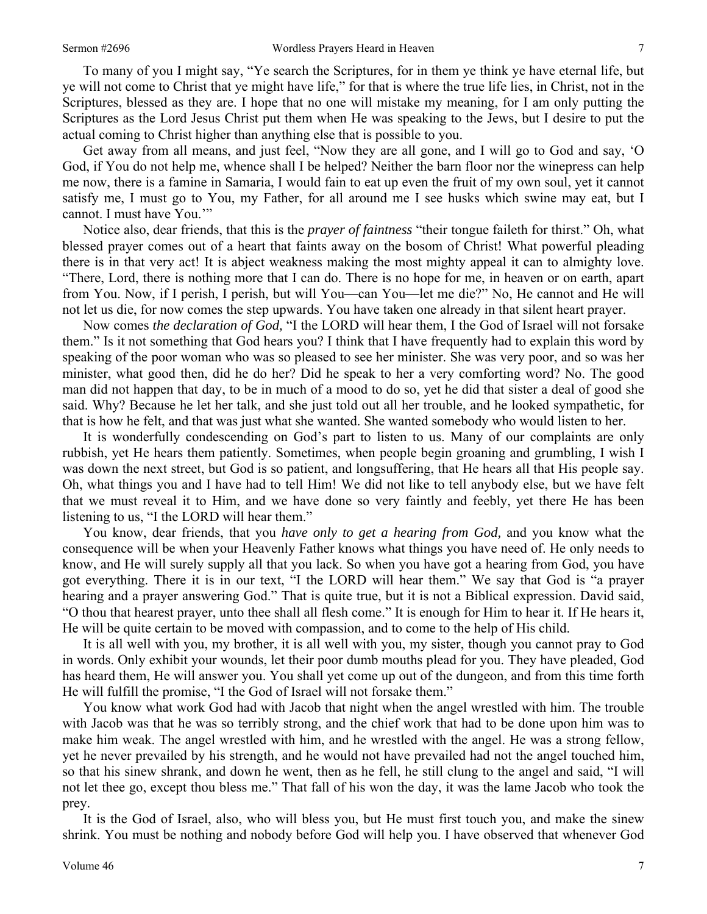To many of you I might say, "Ye search the Scriptures, for in them ye think ye have eternal life, but ye will not come to Christ that ye might have life," for that is where the true life lies, in Christ, not in the Scriptures, blessed as they are. I hope that no one will mistake my meaning, for I am only putting the Scriptures as the Lord Jesus Christ put them when He was speaking to the Jews, but I desire to put the actual coming to Christ higher than anything else that is possible to you.

Get away from all means, and just feel, "Now they are all gone, and I will go to God and say, 'O God, if You do not help me, whence shall I be helped? Neither the barn floor nor the winepress can help me now, there is a famine in Samaria, I would fain to eat up even the fruit of my own soul, yet it cannot satisfy me, I must go to You, my Father, for all around me I see husks which swine may eat, but I cannot. I must have You.'"

Notice also, dear friends, that this is the *prayer of faintness* "their tongue faileth for thirst." Oh, what blessed prayer comes out of a heart that faints away on the bosom of Christ! What powerful pleading there is in that very act! It is abject weakness making the most mighty appeal it can to almighty love. "There, Lord, there is nothing more that I can do. There is no hope for me, in heaven or on earth, apart from You. Now, if I perish, I perish, but will You—can You—let me die?" No, He cannot and He will not let us die, for now comes the step upwards. You have taken one already in that silent heart prayer.

Now comes *the declaration of God,* "I the LORD will hear them, I the God of Israel will not forsake them." Is it not something that God hears you? I think that I have frequently had to explain this word by speaking of the poor woman who was so pleased to see her minister. She was very poor, and so was her minister, what good then, did he do her? Did he speak to her a very comforting word? No. The good man did not happen that day, to be in much of a mood to do so, yet he did that sister a deal of good she said. Why? Because he let her talk, and she just told out all her trouble, and he looked sympathetic, for that is how he felt, and that was just what she wanted. She wanted somebody who would listen to her.

It is wonderfully condescending on God's part to listen to us. Many of our complaints are only rubbish, yet He hears them patiently. Sometimes, when people begin groaning and grumbling, I wish I was down the next street, but God is so patient, and longsuffering, that He hears all that His people say. Oh, what things you and I have had to tell Him! We did not like to tell anybody else, but we have felt that we must reveal it to Him, and we have done so very faintly and feebly, yet there He has been listening to us, "I the LORD will hear them."

You know, dear friends, that you *have only to get a hearing from God,* and you know what the consequence will be when your Heavenly Father knows what things you have need of. He only needs to know, and He will surely supply all that you lack. So when you have got a hearing from God, you have got everything. There it is in our text, "I the LORD will hear them." We say that God is "a prayer hearing and a prayer answering God." That is quite true, but it is not a Biblical expression. David said, "O thou that hearest prayer, unto thee shall all flesh come." It is enough for Him to hear it. If He hears it, He will be quite certain to be moved with compassion, and to come to the help of His child.

It is all well with you, my brother, it is all well with you, my sister, though you cannot pray to God in words. Only exhibit your wounds, let their poor dumb mouths plead for you. They have pleaded, God has heard them, He will answer you. You shall yet come up out of the dungeon, and from this time forth He will fulfill the promise, "I the God of Israel will not forsake them."

You know what work God had with Jacob that night when the angel wrestled with him. The trouble with Jacob was that he was so terribly strong, and the chief work that had to be done upon him was to make him weak. The angel wrestled with him, and he wrestled with the angel. He was a strong fellow, yet he never prevailed by his strength, and he would not have prevailed had not the angel touched him, so that his sinew shrank, and down he went, then as he fell, he still clung to the angel and said, "I will not let thee go, except thou bless me." That fall of his won the day, it was the lame Jacob who took the prey.

It is the God of Israel, also, who will bless you, but He must first touch you, and make the sinew shrink. You must be nothing and nobody before God will help you. I have observed that whenever God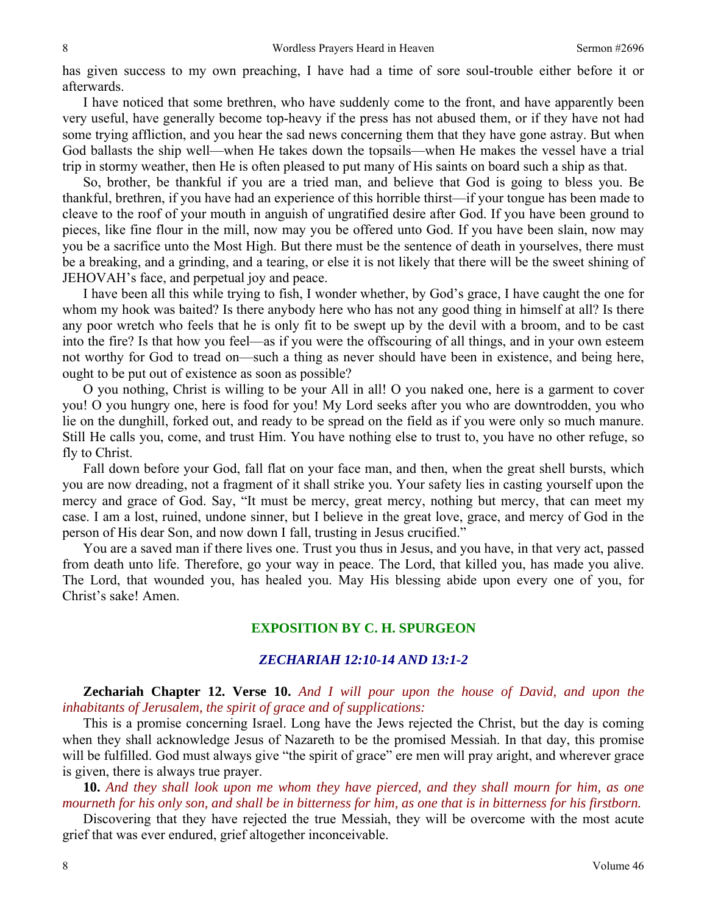has given success to my own preaching, I have had a time of sore soul-trouble either before it or afterwards.

I have noticed that some brethren, who have suddenly come to the front, and have apparently been very useful, have generally become top-heavy if the press has not abused them, or if they have not had some trying affliction, and you hear the sad news concerning them that they have gone astray. But when God ballasts the ship well—when He takes down the topsails—when He makes the vessel have a trial trip in stormy weather, then He is often pleased to put many of His saints on board such a ship as that.

So, brother, be thankful if you are a tried man, and believe that God is going to bless you. Be thankful, brethren, if you have had an experience of this horrible thirst—if your tongue has been made to cleave to the roof of your mouth in anguish of ungratified desire after God. If you have been ground to pieces, like fine flour in the mill, now may you be offered unto God. If you have been slain, now may you be a sacrifice unto the Most High. But there must be the sentence of death in yourselves, there must be a breaking, and a grinding, and a tearing, or else it is not likely that there will be the sweet shining of JEHOVAH's face, and perpetual joy and peace.

I have been all this while trying to fish, I wonder whether, by God's grace, I have caught the one for whom my hook was baited? Is there anybody here who has not any good thing in himself at all? Is there any poor wretch who feels that he is only fit to be swept up by the devil with a broom, and to be cast into the fire? Is that how you feel—as if you were the offscouring of all things, and in your own esteem not worthy for God to tread on—such a thing as never should have been in existence, and being here, ought to be put out of existence as soon as possible?

O you nothing, Christ is willing to be your All in all! O you naked one, here is a garment to cover you! O you hungry one, here is food for you! My Lord seeks after you who are downtrodden, you who lie on the dunghill, forked out, and ready to be spread on the field as if you were only so much manure. Still He calls you, come, and trust Him. You have nothing else to trust to, you have no other refuge, so fly to Christ.

Fall down before your God, fall flat on your face man, and then, when the great shell bursts, which you are now dreading, not a fragment of it shall strike you. Your safety lies in casting yourself upon the mercy and grace of God. Say, "It must be mercy, great mercy, nothing but mercy, that can meet my case. I am a lost, ruined, undone sinner, but I believe in the great love, grace, and mercy of God in the person of His dear Son, and now down I fall, trusting in Jesus crucified."

You are a saved man if there lives one. Trust you thus in Jesus, and you have, in that very act, passed from death unto life. Therefore, go your way in peace. The Lord, that killed you, has made you alive. The Lord, that wounded you, has healed you. May His blessing abide upon every one of you, for Christ's sake! Amen.

## **EXPOSITION BY C. H. SPURGEON**

#### *ZECHARIAH 12:10-14 AND 13:1-2*

**Zechariah Chapter 12. Verse 10.** *And I will pour upon the house of David, and upon the inhabitants of Jerusalem, the spirit of grace and of supplications:* 

This is a promise concerning Israel. Long have the Jews rejected the Christ, but the day is coming when they shall acknowledge Jesus of Nazareth to be the promised Messiah. In that day, this promise will be fulfilled. God must always give "the spirit of grace" ere men will pray aright, and wherever grace is given, there is always true prayer.

**10.** *And they shall look upon me whom they have pierced, and they shall mourn for him, as one mourneth for his only son, and shall be in bitterness for him, as one that is in bitterness for his firstborn.* 

Discovering that they have rejected the true Messiah, they will be overcome with the most acute grief that was ever endured, grief altogether inconceivable.